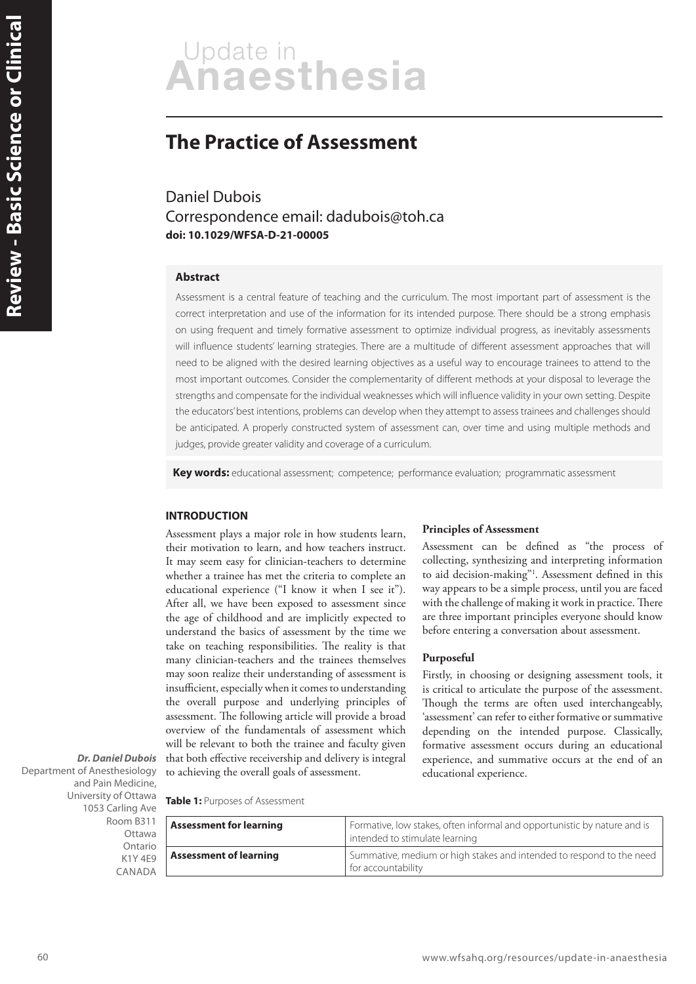# Update in<br>Anaesthesia

# **The Practice of Assessment**

Daniel Dubois Correspondence email: dadubois@toh.ca **doi: 10.1029/WFSA-D-21-00005**

## **Abstract**

Assessment is a central feature of teaching and the curriculum. The most important part of assessment is the correct interpretation and use of the information for its intended purpose. There should be a strong emphasis on using frequent and timely formative assessment to optimize individual progress, as inevitably assessments will influence students' learning strategies. There are a multitude of different assessment approaches that will need to be aligned with the desired learning objectives as a useful way to encourage trainees to attend to the most important outcomes. Consider the complementarity of different methods at your disposal to leverage the strengths and compensate for the individual weaknesses which will influence validity in your own setting. Despite the educators' best intentions, problems can develop when they attempt to assess trainees and challenges should be anticipated. A properly constructed system of assessment can, over time and using multiple methods and judges, provide greater validity and coverage of a curriculum.

**Key words:** educational assessment; competence; performance evaluation; programmatic assessment

#### **INTRODUCTION**

Assessment plays a major role in how students learn, their motivation to learn, and how teachers instruct. It may seem easy for clinician-teachers to determine whether a trainee has met the criteria to complete an educational experience ("I know it when I see it"). After all, we have been exposed to assessment since the age of childhood and are implicitly expected to understand the basics of assessment by the time we take on teaching responsibilities. The reality is that many clinician-teachers and the trainees themselves may soon realize their understanding of assessment is insufficient, especially when it comes to understanding the overall purpose and underlying principles of assessment. The following article will provide a broad overview of the fundamentals of assessment which will be relevant to both the trainee and faculty given that both effective receivership and delivery is integral to achieving the overall goals of assessment.

#### **Principles of Assessment**

Assessment can be defined as "the process of collecting, synthesizing and interpreting information to aid decision-making"<sup>1</sup> . Assessment defined in this way appears to be a simple process, until you are faced with the challenge of making it work in practice. There are three important principles everyone should know before entering a conversation about assessment.

#### **Purposeful**

Firstly, in choosing or designing assessment tools, it is critical to articulate the purpose of the assessment. Though the terms are often used interchangeably, 'assessment' can refer to either formative or summative depending on the intended purpose. Classically, formative assessment occurs during an educational experience, and summative occurs at the end of an educational experience.

### **Dr. Daniel Dubois**

Department of Anesthesiology and Pain Medicine, University of Ottawa 1053 Carling Ave Room B311 **Ottawa** Ontario K1Y 4E9 CANADA

|  |  |  |  | Table 1: Purposes of Assessment |
|--|--|--|--|---------------------------------|
|--|--|--|--|---------------------------------|

| <b>Assessment for learning</b> | Formative, low stakes, often informal and opportunistic by nature and is<br>intended to stimulate learning |  |
|--------------------------------|------------------------------------------------------------------------------------------------------------|--|
| <b>Assessment of learning</b>  | Summative, medium or high stakes and intended to respond to the need<br>for accountability                 |  |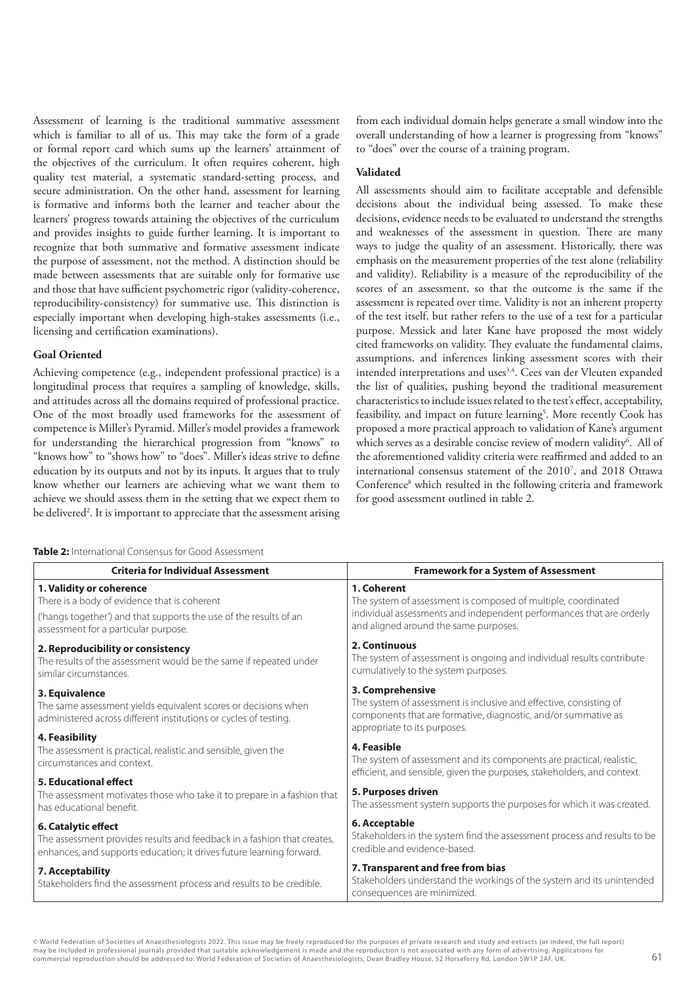Assessment of learning is the traditional summative assessment which is familiar to all of us. This may take the form of a grade or formal report card which sums up the learners' attainment of the objectives of the curriculum. It often requires coherent, high quality test material, a systematic standard-setting process, and secure administration. On the other hand, assessment for learning is formative and informs both the learner and teacher about the learners' progress towards attaining the objectives of the curriculum and provides insights to guide further learning. It is important to recognize that both summative and formative assessment indicate the purpose of assessment, not the method. A distinction should be made between assessments that are suitable only for formative use and those that have sufficient psychometric rigor (validity-coherence, reproducibility-consistency) for summative use. This distinction is especially important when developing high-stakes assessments (i.e., licensing and certification examinations).

#### **Goal Oriented**

Achieving competence (e.g., independent professional practice) is a longitudinal process that requires a sampling of knowledge, skills, and attitudes across all the domains required of professional practice. One of the most broadly used frameworks for the assessment of competence is Miller's Pyramid. Miller's model provides a framework for understanding the hierarchical progression from "knows" to "knows how" to "shows how" to "does". Miller's ideas strive to define education by its outputs and not by its inputs. It argues that to truly know whether our learners are achieving what we want them to achieve we should assess them in the setting that we expect them to be delivered<sup>2</sup>. It is important to appreciate that the assessment arising

| from each individual domain helps generate a small window into the |
|--------------------------------------------------------------------|
| overall understanding of how a learner is progressing from "knows" |
| to "does" over the course of a training program.                   |

# **Validated**

All assessments should aim to facilitate acceptable and defensible decisions about the individual being assessed. To make these decisions, evidence needs to be evaluated to understand the strengths and weaknesses of the assessment in question. There are many ways to judge the quality of an assessment. Historically, there was emphasis on the measurement properties of the test alone (reliability and validity). Reliability is a measure of the reproducibility of the scores of an assessment, so that the outcome is the same if the assessment is repeated over time. Validity is not an inherent property of the test itself, but rather refers to the use of a test for a particular purpose. Messick and later Kane have proposed the most widely cited frameworks on validity. They evaluate the fundamental claims, assumptions, and inferences linking assessment scores with their intended interpretations and uses<sup>3,4</sup>. Cees van der Vleuten expanded the list of qualities, pushing beyond the traditional measurement characteristics to include issues related to the test's effect, acceptability, feasibility, and impact on future learning<sup>5</sup>. More recently Cook has proposed a more practical approach to validation of Kane's argument which serves as a desirable concise review of modern validity<sup>6</sup>. All of the aforementioned validity criteria were reaffirmed and added to an international consensus statement of the 2010<sup>7</sup> , and 2018 Ottawa Conference<sup>8</sup> which resulted in the following criteria and framework for good assessment outlined in table 2.

| <b>Criteria for Individual Assessment</b>                                                                                                            | <b>Framework for a System of Assessment</b>                                                                                                                                              |  |
|------------------------------------------------------------------------------------------------------------------------------------------------------|------------------------------------------------------------------------------------------------------------------------------------------------------------------------------------------|--|
| 1. Validity or coherence                                                                                                                             | 1. Coherent                                                                                                                                                                              |  |
| There is a body of evidence that is coherent                                                                                                         | The system of assessment is composed of multiple, coordinated                                                                                                                            |  |
| ('hangs together') and that supports the use of the results of an                                                                                    | individual assessments and independent performances that are orderly                                                                                                                     |  |
| assessment for a particular purpose.                                                                                                                 | and aligned around the same purposes.                                                                                                                                                    |  |
| 2. Reproducibility or consistency                                                                                                                    | 2. Continuous                                                                                                                                                                            |  |
| The results of the assessment would be the same if repeated under                                                                                    | The system of assessment is ongoing and individual results contribute                                                                                                                    |  |
| similar circumstances.                                                                                                                               | cumulatively to the system purposes.                                                                                                                                                     |  |
| 3. Equivalence<br>The same assessment yields equivalent scores or decisions when<br>administered across different institutions or cycles of testing. | 3. Comprehensive<br>The system of assessment is inclusive and effective, consisting of<br>components that are formative, diagnostic, and/or summative as<br>appropriate to its purposes. |  |
| 4. Feasibility                                                                                                                                       | 4. Feasible                                                                                                                                                                              |  |
| The assessment is practical, realistic and sensible, given the                                                                                       | The system of assessment and its components are practical, realistic,                                                                                                                    |  |
| circumstances and context.                                                                                                                           | efficient, and sensible, given the purposes, stakeholders, and context.                                                                                                                  |  |
| 5. Educational effect<br>The assessment motivates those who take it to prepare in a fashion that<br>has educational benefit.                         | 5. Purposes driven<br>The assessment system supports the purposes for which it was created.                                                                                              |  |
| 6. Catalytic effect                                                                                                                                  | 6. Acceptable                                                                                                                                                                            |  |
| The assessment provides results and feedback in a fashion that creates,                                                                              | Stakeholders in the system find the assessment process and results to be                                                                                                                 |  |
| enhances, and supports education; it drives future learning forward.                                                                                 | credible and evidence-based.                                                                                                                                                             |  |
| 7. Acceptability<br>Stakeholders find the assessment process and results to be credible.                                                             | 7. Transparent and free from bias<br>Stakeholders understand the workings of the system and its unintended<br>consequences are minimized.                                                |  |

**Table 2:** International Consensus for Good Assessment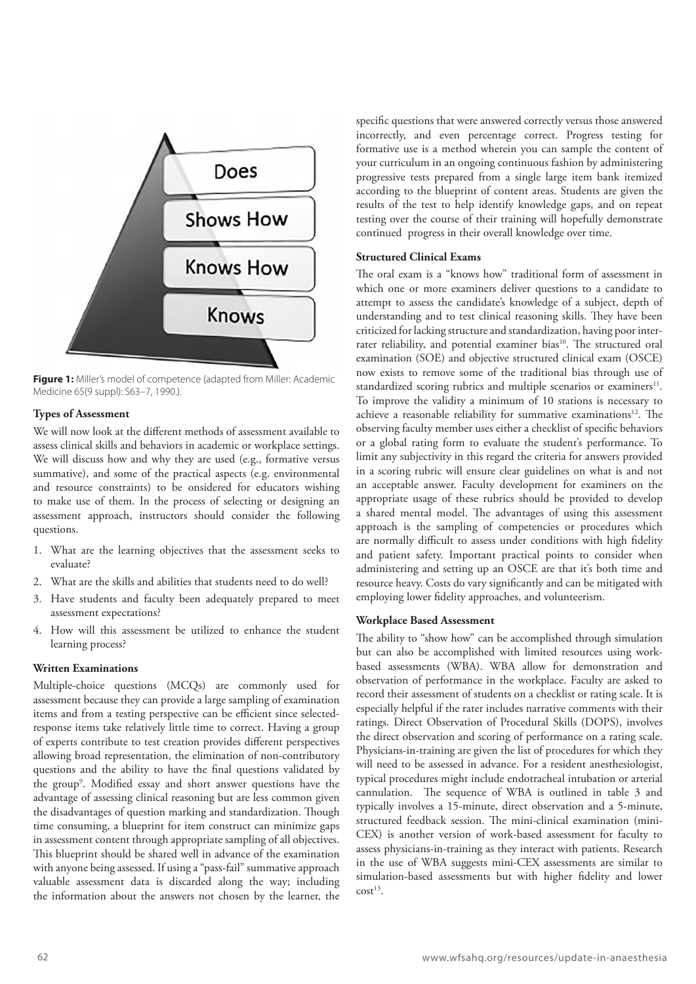

**Figure 1:** Miller's model of competence (adapted from Miller: Academic Medicine 65(9 suppl): S63–7, 1990.).

#### **Types of Assessment**

We will now look at the different methods of assessment available to assess clinical skills and behaviors in academic or workplace settings. We will discuss how and why they are used (e.g., formative versus summative), and some of the practical aspects (e.g. environmental and resource constraints) to be onsidered for educators wishing to make use of them. In the process of selecting or designing an assessment approach, instructors should consider the following questions.

- 1. What are the learning objectives that the assessment seeks to evaluate?
- 2. What are the skills and abilities that students need to do well?
- 3. Have students and faculty been adequately prepared to meet assessment expectations?
- 4. How will this assessment be utilized to enhance the student learning process?

#### **Written Examinations**

Multiple-choice questions (MCQs) are commonly used for assessment because they can provide a large sampling of examination items and from a testing perspective can be efficient since selectedresponse items take relatively little time to correct. Having a group of experts contribute to test creation provides different perspectives allowing broad representation, the elimination of non-contributory questions and the ability to have the final questions validated by the group<sup>9</sup>. Modified essay and short answer questions have the advantage of assessing clinical reasoning but are less common given the disadvantages of question marking and standardization. Though time consuming, a blueprint for item construct can minimize gaps in assessment content through appropriate sampling of all objectives. This blueprint should be shared well in advance of the examination with anyone being assessed. If using a "pass-fail" summative approach valuable assessment data is discarded along the way; including the information about the answers not chosen by the learner, the

specific questions that were answered correctly versus those answered incorrectly, and even percentage correct. Progress testing for formative use is a method wherein you can sample the content of your curriculum in an ongoing continuous fashion by administering progressive tests prepared from a single large item bank itemized according to the blueprint of content areas. Students are given the results of the test to help identify knowledge gaps, and on repeat testing over the course of their training will hopefully demonstrate continued progress in their overall knowledge over time.

#### **Structured Clinical Exams**

The oral exam is a "knows how" traditional form of assessment in which one or more examiners deliver questions to a candidate to attempt to assess the candidate's knowledge of a subject, depth of understanding and to test clinical reasoning skills. They have been criticized for lacking structure and standardization, having poor interrater reliability, and potential examiner bias<sup>10</sup>. The structured oral examination (SOE) and objective structured clinical exam (OSCE) now exists to remove some of the traditional bias through use of standardized scoring rubrics and multiple scenarios or examiners<sup>11</sup>. To improve the validity a minimum of 10 stations is necessary to achieve a reasonable reliability for summative examinations<sup>12</sup>. The observing faculty member uses either a checklist of specific behaviors or a global rating form to evaluate the student's performance. To limit any subjectivity in this regard the criteria for answers provided in a scoring rubric will ensure clear guidelines on what is and not an acceptable answer. Faculty development for examiners on the appropriate usage of these rubrics should be provided to develop a shared mental model. The advantages of using this assessment approach is the sampling of competencies or procedures which are normally difficult to assess under conditions with high fidelity and patient safety. Important practical points to consider when administering and setting up an OSCE are that it's both time and resource heavy. Costs do vary significantly and can be mitigated with employing lower fidelity approaches, and volunteerism.

#### **Workplace Based Assessment**

The ability to "show how" can be accomplished through simulation but can also be accomplished with limited resources using workbased assessments (WBA). WBA allow for demonstration and observation of performance in the workplace. Faculty are asked to record their assessment of students on a checklist or rating scale. It is especially helpful if the rater includes narrative comments with their ratings. Direct Observation of Procedural Skills (DOPS), involves the direct observation and scoring of performance on a rating scale. Physicians-in-training are given the list of procedures for which they will need to be assessed in advance. For a resident anesthesiologist, typical procedures might include endotracheal intubation or arterial cannulation. The sequence of WBA is outlined in table 3 and typically involves a 15-minute, direct observation and a 5-minute, structured feedback session. The mini-clinical examination (mini-CEX) is another version of work-based assessment for faculty to assess physicians-in-training as they interact with patients. Research in the use of WBA suggests mini-CEX assessments are similar to simulation-based assessments but with higher fidelity and lower  $\cot^{13}$ .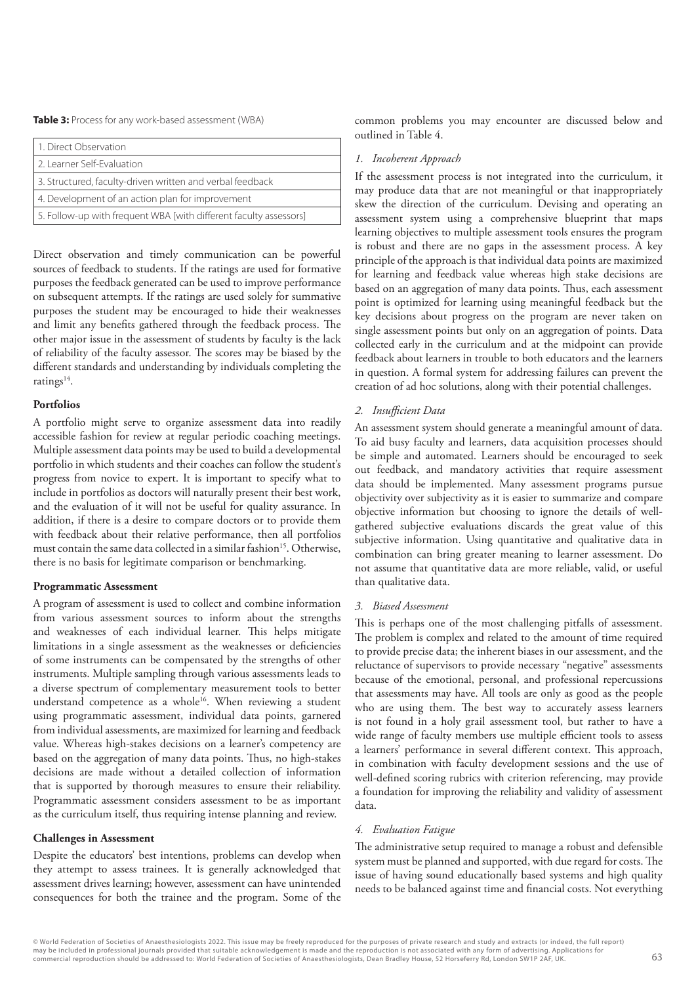**Table 3:** Process for any work-based assessment (WBA)

| 1. Direct Observation                                             |  |
|-------------------------------------------------------------------|--|
| 2. Learner Self-Evaluation                                        |  |
| 3. Structured, faculty-driven written and verbal feedback         |  |
| 4. Development of an action plan for improvement                  |  |
| 5. Follow-up with frequent WBA [with different faculty assessors] |  |

Direct observation and timely communication can be powerful sources of feedback to students. If the ratings are used for formative purposes the feedback generated can be used to improve performance on subsequent attempts. If the ratings are used solely for summative purposes the student may be encouraged to hide their weaknesses and limit any benefits gathered through the feedback process. The other major issue in the assessment of students by faculty is the lack of reliability of the faculty assessor. The scores may be biased by the different standards and understanding by individuals completing the ratings<sup>14</sup>.

# **Portfolios**

A portfolio might serve to organize assessment data into readily accessible fashion for review at regular periodic coaching meetings. Multiple assessment data points may be used to build a developmental portfolio in which students and their coaches can follow the student's progress from novice to expert. It is important to specify what to include in portfolios as doctors will naturally present their best work, and the evaluation of it will not be useful for quality assurance. In addition, if there is a desire to compare doctors or to provide them with feedback about their relative performance, then all portfolios must contain the same data collected in a similar fashion<sup>15</sup>. Otherwise, there is no basis for legitimate comparison or benchmarking.

#### **Programmatic Assessment**

A program of assessment is used to collect and combine information from various assessment sources to inform about the strengths and weaknesses of each individual learner. This helps mitigate limitations in a single assessment as the weaknesses or deficiencies of some instruments can be compensated by the strengths of other instruments. Multiple sampling through various assessments leads to a diverse spectrum of complementary measurement tools to better understand competence as a whole<sup>16</sup>. When reviewing a student using programmatic assessment, individual data points, garnered from individual assessments, are maximized for learning and feedback value. Whereas high-stakes decisions on a learner's competency are based on the aggregation of many data points. Thus, no high-stakes decisions are made without a detailed collection of information that is supported by thorough measures to ensure their reliability. Programmatic assessment considers assessment to be as important as the curriculum itself, thus requiring intense planning and review.

#### **Challenges in Assessment**

Despite the educators' best intentions, problems can develop when they attempt to assess trainees. It is generally acknowledged that assessment drives learning; however, assessment can have unintended consequences for both the trainee and the program. Some of the common problems you may encounter are discussed below and outlined in Table 4.

# *1. Incoherent Approach*

If the assessment process is not integrated into the curriculum, it may produce data that are not meaningful or that inappropriately skew the direction of the curriculum. Devising and operating an assessment system using a comprehensive blueprint that maps learning objectives to multiple assessment tools ensures the program is robust and there are no gaps in the assessment process. A key principle of the approach is that individual data points are maximized for learning and feedback value whereas high stake decisions are based on an aggregation of many data points. Thus, each assessment point is optimized for learning using meaningful feedback but the key decisions about progress on the program are never taken on single assessment points but only on an aggregation of points. Data collected early in the curriculum and at the midpoint can provide feedback about learners in trouble to both educators and the learners in question. A formal system for addressing failures can prevent the creation of ad hoc solutions, along with their potential challenges.

#### *2. Insufficient Data*

An assessment system should generate a meaningful amount of data. To aid busy faculty and learners, data acquisition processes should be simple and automated. Learners should be encouraged to seek out feedback, and mandatory activities that require assessment data should be implemented. Many assessment programs pursue objectivity over subjectivity as it is easier to summarize and compare objective information but choosing to ignore the details of wellgathered subjective evaluations discards the great value of this subjective information. Using quantitative and qualitative data in combination can bring greater meaning to learner assessment. Do not assume that quantitative data are more reliable, valid, or useful than qualitative data.

#### *3. Biased Assessment*

This is perhaps one of the most challenging pitfalls of assessment. The problem is complex and related to the amount of time required to provide precise data; the inherent biases in our assessment, and the reluctance of supervisors to provide necessary "negative" assessments because of the emotional, personal, and professional repercussions that assessments may have. All tools are only as good as the people who are using them. The best way to accurately assess learners is not found in a holy grail assessment tool, but rather to have a wide range of faculty members use multiple efficient tools to assess a learners' performance in several different context. This approach, in combination with faculty development sessions and the use of well-defined scoring rubrics with criterion referencing, may provide a foundation for improving the reliability and validity of assessment data.

#### *4. Evaluation Fatigue*

The administrative setup required to manage a robust and defensible system must be planned and supported, with due regard for costs. The issue of having sound educationally based systems and high quality needs to be balanced against time and financial costs. Not everything